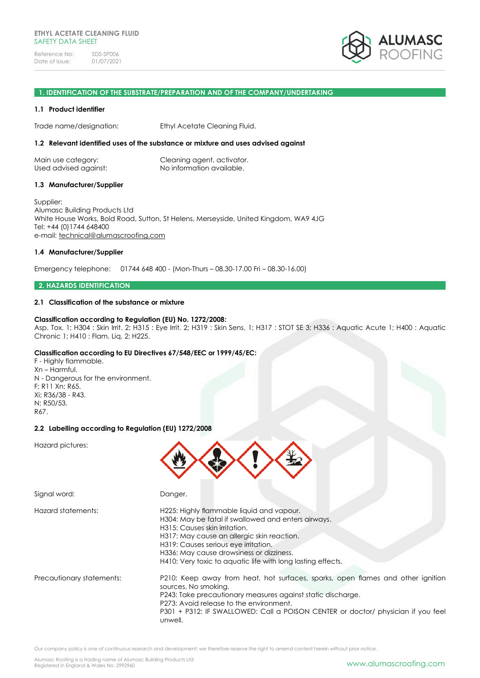

### **1. IDENTIFICATION OF THE SUBSTRATE/PREPARATION AND OF THE COMPANY/UNDERTAKING**

### **1.1 Product identifier**

Trade name/designation: Ethyl Acetate Cleaning Fluid.

### **1.2 Relevant identified uses of the substance or mixture and uses advised against**

| Main use category:    | Cleaning agent, activator. |
|-----------------------|----------------------------|
| Used advised against: | No information available.  |

### **1.3 Manufacturer/Supplier**

Supplier: Alumasc Building Products Ltd White House Works, Bold Road, Sutton, St Helens, Merseyside, United Kingdom, WA9 4JG Tel: +44 (0)1744 648400 e-mail: [technical@alumascroofing.com](mailto:technical@alumascroofing.com)

### **1.4 Manufacturer/Supplier**

Emergency telephone: 01744 648 400 - (Mon-Thurs – 08.30-17.00 Fri – 08.30-16.00)

### **2. HAZARDS IDENTIFICATION**

### **2.1 Classification of the substance or mixture**

### **Classification according to Regulation (EU) No. 1272/2008:**

Asp. Tox. 1; H304 : Skin Irrit. 2; H315 : Eye Irrit. 2; H319 : Skin Sens. 1; H317 : STOT SE 3; H336 : Aquatic Acute 1; H400 : Aquatic Chronic 1; H410 : Flam. Liq. 2; H225.

# **Classification according to EU Directives 67/548/EEC or 1999/45/EC:**

F - Highly flammable. Xn – Harmful. N - Dangerous for the environment. F; R11 Xn; R65. Xi; R36/38 - R43. N; R50/53. R67.

# **2.2 Labelling according to Regulation (EU) 1272/2008**

Hazard pictures:



| Signal word:              | Danger.                                                                                                                                                                                                                                                                                                                            |
|---------------------------|------------------------------------------------------------------------------------------------------------------------------------------------------------------------------------------------------------------------------------------------------------------------------------------------------------------------------------|
| Hazard statements:        | H225: Highly flammable liquid and vapour.<br>H304: May be fatal if swallowed and enters airways.<br>H315: Causes skin irritation.<br>H317: May cause an allergic skin reaction.<br>H319: Causes serious eye irritation.<br>H336: May cause drowsiness or dizziness.<br>H410: Very toxic to aquatic life with long lasting effects. |
| Precautionary statements: | P210: Keep away from heat, hot surfaces, sparks, open flames and other ignition<br>sources. No smoking.<br>P243: Take precautionary measures against static discharge.<br>P273: Avoid release to the environment.<br>P301 + P312: IF SWALLOWED: Call a POISON CENTER or doctor/ physician if you feel<br>unwell.                   |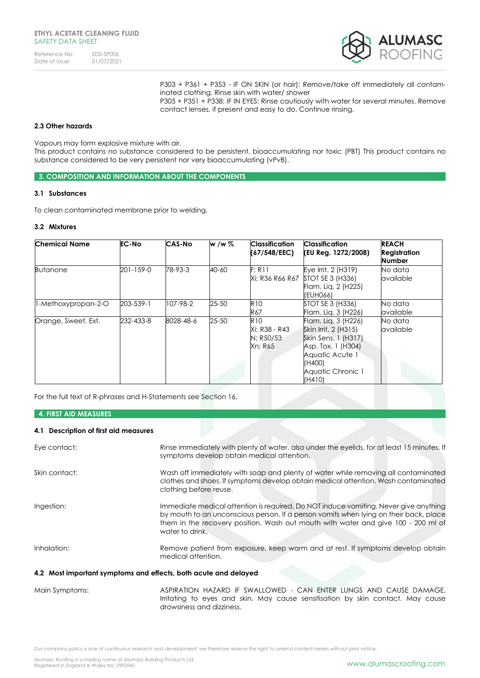| Reference No:  | SDS-SP006  |
|----------------|------------|
| Date of issue: | 01/07/2021 |



P303 + P361 + P353 - IF ON SKIN (or hair): Remove/take off immediately all contaminated clothing. Rinse skin with water/ shower P305 + P351 + P338: IF IN EYES: Rinse cautiously with water for several minutes. Remove contact lenses, if present and easy to do. Continue rinsing.

# **2.3 Other hazards**

Vapours may form explosive mixture with air.

This product contains no substance considered to be persistent, bioaccumulating nor toxic (PBT) This product contains no substance considered to be very persistent nor very bioaccumulating (vPvB).

**3. COMPOSITION AND INFORMATION ABOUT THE COMPONENTS**

# **3.1 Substances**

To clean contaminated membrane prior to welding.

# **3.2 Mixtures**

| <b>Chemical Name</b> | <b>EC-No</b>    | CAS-No    | w /w %    | <b>Classification</b><br>(67/548/EEC)               | <b>Classification</b><br>(EU Reg. 1272/2008)                                                                                                         | <b>REACH</b><br><b>Registration</b><br><b>Number</b> |
|----------------------|-----------------|-----------|-----------|-----------------------------------------------------|------------------------------------------------------------------------------------------------------------------------------------------------------|------------------------------------------------------|
| <b>Butanone</b>      | $201 - 159 - 0$ | 78-93-3   | $40 - 60$ | F: R11                                              | Eye Irrit. 2 (H319)<br>Xi; R36 R66 R67 STOT SE 3 (H336)<br>Flam. Lig. 2 (H225)<br>(EUH066)                                                           | No data<br>available                                 |
| l-Methoxypropan-2-O  | 203-539-1       | 107-98-2  | $25 - 50$ | <b>R10</b><br>R67                                   | STOT SE 3 (H336)<br>Flam. Lig. 3 (H226)                                                                                                              | No data<br>available                                 |
| Orange, Sweet, Ext.  | 232-433-8       | 8028-48-6 | 25-50     | <b>R10</b><br>Xi: R38 - R43<br>N; R50/53<br>Xn: R65 | Flam. Liq. 3 (H226)<br>Skin Irrit. 2 (H315)<br>Skin Sens. 1 (H317)<br>Asp. Tox. 1 (H304)<br>Aquatic Acute 1<br>(H400)<br>Aquatic Chronic 1<br>(H410) | No data<br>available                                 |

For the full text of R-phrases and H-Statements see Section 16.

### **4. FIRST AID MEASURES**

# **4.1 Description of first aid measures**

| $\mathbf{A}$ and $\mathbf{B}$ are a set of the set of $\mathbf{A}$ | $\overline{100}$                                                                                                                                                                                                                                                                      |
|--------------------------------------------------------------------|---------------------------------------------------------------------------------------------------------------------------------------------------------------------------------------------------------------------------------------------------------------------------------------|
| 4.2 Most important symptoms and effects, both acute and delayed    |                                                                                                                                                                                                                                                                                       |
| Inhalation:                                                        | Remove patient from exposure, keep warm and at rest. If symptoms develop obtain<br>medical attention.                                                                                                                                                                                 |
| Ingestion:                                                         | Immediate medical attention is required. Do NOT induce vomiting. Never give anything<br>by mouth to an unconscious person. If a person vomits when lying on their back, place<br>them in the recovery position. Wash out mouth with water and give 100 - 200 ml of<br>water to drink. |
| Skin contact:                                                      | Wash off immediately with soap and plenty of water while removing all contaminated<br>clothes and shoes. If symptoms develop obtain medical attention. Wash contaminated<br>clothing before reuse.                                                                                    |
| Eye contact:                                                       | Rinse immediately with plenty of water, also under the eyelids, for at least 15 minutes. If<br>symptoms develop obtain medical attention.                                                                                                                                             |

Main Symptoms: ASPIRATION HAZARD IF SWALLOWED - CAN ENTER LUNGS AND CAUSE DAMAGE. Irritating to eyes and skin. May cause sensitisation by skin contact. May cause drowsiness and dizziness.

Our company policy is one of continuous research and development; we therefore reserve the right to amend content herein without prior notice.

Alumasc Roofing is a trading name of Alumasc Building Products Ltd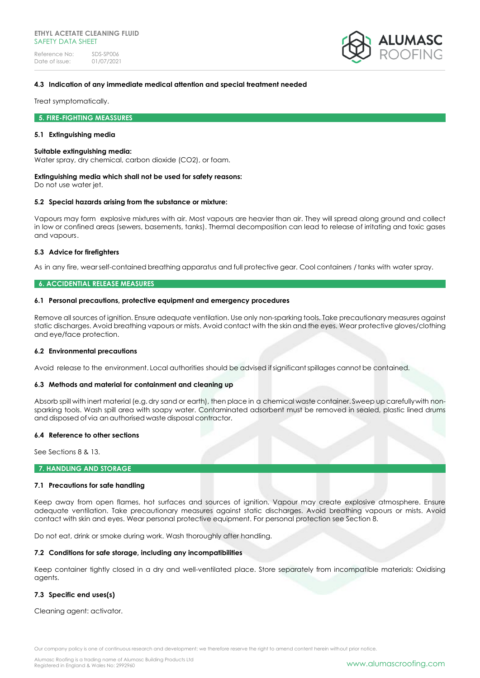

# **4.3 Indication of any immediate medical attention and special treatment needed**

Treat symptomatically.

### **5. FIRE-FIGHTING MEASSURES**

### **5.1 Extinguishing media**

#### **Suitable extinguishing media:**

Water spray, dry chemical, carbon dioxide (CO2), or foam.

### **Extinguishing media which shall not be used for safety reasons:**

Do not use water jet.

# **5.2 Special hazards arising from the substance or mixture:**

Vapours may form explosive mixtures with air. Most vapours are heavier than air. They will spread along ground and collect in low or confined areas (sewers, basements, tanks). Thermal decomposition can lead to release of irritating and toxic gases and vapours.

# **5.3 Advice for firefighters**

As in any fire, wearself-contained breathing apparatus and full protective gear. Cool containers / tanks with water spray.

# **6. ACCIDENTIAL RELEASE MEASURES**

### **6.1 Personal precautions, protective equipment and emergency procedures**

Remove all sources of ignition. Ensure adequate ventilation. Use only non-sparking tools. Take precautionary measures against static discharges. Avoid breathing vapours or mists. Avoid contact with the skin and the eyes. Wear protective gloves/clothing and eye/face protection.

# **6.2 Environmental precautions**

Avoid release to the environment. Local authorities should be advised ifsignificantspillages cannot be contained.

# **6.3 Methods and material for containment and cleaning up**

Absorb spill with inert material (e.g.dry sand or earth), then place in a chemical waste container. Sweep up carefullywith nonsparking tools. Wash spill area with soapy water. Contaminated adsorbent must be removed in sealed, plastic lined drums and disposed of via an authorised waste disposal contractor.

#### **6.4 Reference to other sections**

See Sections 8 & 13.

### **7. HANDLING AND STORAGE**

# **7.1 Precautions for safe handling**

Keep away from open flames, hot surfaces and sources of ignition. Vapour may create explosive atmosphere. Ensure adequate ventilation. Take precautionary measures against static discharges. Avoid breathing vapours or mists. Avoid contact with skin and eyes. Wear personal protective equipment. For personal protection see Section 8.

Do not eat, drink or smoke during work. Wash thoroughly after handling.

# **7.2 Conditions for safe storage, including any incompatibilities**

Keep container tightly closed in a dry and well-ventilated place. Store separately from incompatible materials: Oxidising agents.

# **7.3 Specific end uses(s)**

Cleaning agent: activator.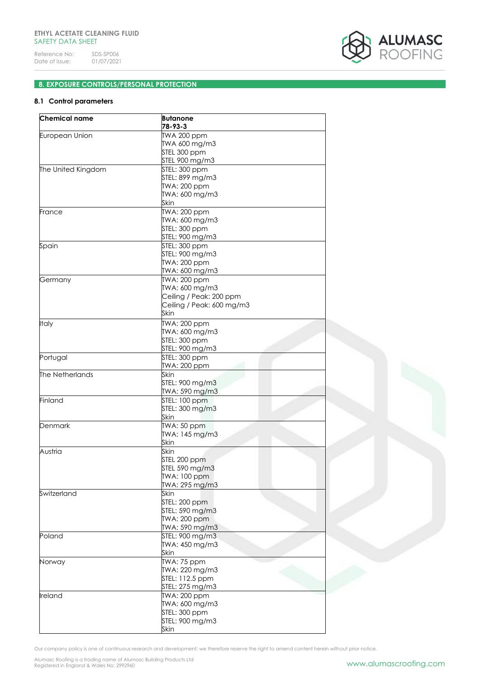

# **8. EXPOSURE CONTROLS/PERSONAL PROTECTION**

# **8.1 Control parameters**

| Chemical name      | <b>Butanone</b><br>78-93-3 |
|--------------------|----------------------------|
| European Union     | TWA 200 ppm                |
|                    | TWA 600 mg/m3              |
|                    | STEL 300 ppm               |
|                    | STEL 900 mg/m3             |
| The United Kingdom | STEL: 300 ppm              |
|                    | STEL: 899 mg/m3            |
|                    | TWA: 200 ppm               |
|                    |                            |
|                    | TWA: 600 mg/m3             |
|                    | Skin                       |
| France             | TWA: 200 ppm               |
|                    | TWA: 600 mg/m3             |
|                    | STEL: 300 ppm              |
|                    | STEL: 900 mg/m3            |
| Spain              | STEL: 300 ppm              |
|                    | STEL: 900 mg/m3            |
|                    | TWA: 200 ppm               |
|                    | TWA: 600 mg/m3             |
| Germany            | <b>TWA: 200 ppm</b>        |
|                    | TWA: 600 mg/m3             |
|                    | Ceiling / Peak: 200 ppm    |
|                    | Ceiling / Peak: 600 mg/m3  |
|                    | Skin                       |
|                    |                            |
| Italy              | TWA: 200 ppm               |
|                    | TWA: 600 mg/m3             |
|                    | STEL: 300 ppm              |
|                    | STEL: 900 mg/m3            |
| Portugal           | STEL: 300 ppm              |
|                    | TWA: 200 ppm               |
| The Netherlands    | Skin                       |
|                    | STEL: 900 mg/m3            |
|                    | TWA: 590 mg/m3             |
| Finland            | STEL: 100 ppm              |
|                    | STEL: 300 mg/m3            |
|                    | Skin                       |
| Denmark            | TWA: 50 ppm                |
|                    |                            |
|                    | TWA: 145 mg/m3             |
|                    | Skin                       |
| Austria            | Skin                       |
|                    | STEL 200 ppm               |
|                    | STEL 590 mg/m3             |
|                    | TWA: 100 ppm               |
|                    | TWA: 295 mg/m3             |
| Switzerland        | Skin                       |
|                    | STEL: 200 ppm              |
|                    | STEL: 590 mg/m3            |
|                    | <b>TWA: 200 ppm</b>        |
|                    | TWA: 590 mg/m3             |
| Poland             | STEL: 900 mg/m3            |
|                    | TWA: 450 mg/m3             |
|                    | Skin                       |
|                    |                            |
| Norway             | TWA: 75 ppm                |
|                    | TWA: 220 mg/m3             |
|                    | STEL: 112.5 ppm            |
|                    | STEL: 275 mg/m3            |
| Ireland            | TWA: 200 ppm               |
|                    | TWA: 600 mg/m3             |
|                    | STEL: 300 ppm              |
|                    | STEL: 900 mg/m3            |
|                    | Skin                       |
|                    |                            |

Our company policy is one of continuous research and development; we therefore reserve the right to amend content herein without prior notice.

Alumasc Roofing is a trading name of Alumasc Building Products Ltd<br>Registered in England & Wales No: 2992960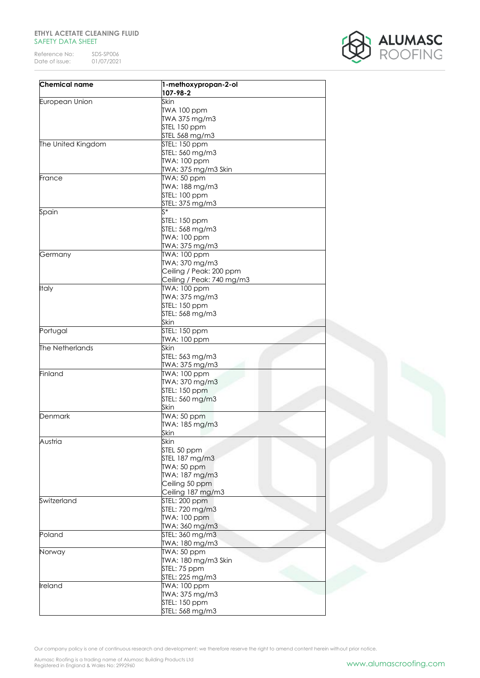# **ETHYL ACETATE CLEANING FLUID** SAFETY DATA SHEET

Reference No: SDS-SP006<br>Date of issue: 01/07/2021 Date of issue:



| <b>Chemical name</b> | 1-methoxypropan-2-ol<br>107-98-2 |
|----------------------|----------------------------------|
| European Union       | Skin                             |
|                      | TWA 100 ppm                      |
|                      | TWA 375 mg/m3                    |
|                      | STEL 150 ppm                     |
|                      | STEL 568 mg/m3                   |
| The United Kingdom   | STEL: 150 ppm                    |
|                      | STEL: 560 mg/m3                  |
|                      |                                  |
|                      | TWA: 100 ppm                     |
|                      | TWA: 375 mg/m3 Skin              |
| France               | TWA: 50 ppm                      |
|                      | TWA: 188 mg/m3                   |
|                      | STEL: 100 ppm                    |
|                      | STEL: 375 mg/m3                  |
| Spain                | $\zeta^*$                        |
|                      | STEL: 150 ppm                    |
|                      | STEL: 568 mg/m3                  |
|                      | TWA: 100 ppm                     |
|                      | TWA: 375 mg/m3                   |
|                      | TWA: 100 ppm                     |
| Germany              |                                  |
|                      | TWA: 370 mg/m3                   |
|                      | Ceiling / Peak: 200 ppm          |
|                      | Ceiling / Peak: 740 mg/m3        |
| <b>Italy</b>         | TWA: 100 ppm                     |
|                      | TWA: 375 mg/m3                   |
|                      | STEL: 150 ppm                    |
|                      | STEL: 568 mg/m3                  |
|                      | Skin                             |
|                      | STEL: 150 ppm                    |
| Portugal             |                                  |
|                      | TWA: 100 ppm                     |
| The Netherlands      | Skin                             |
|                      | STEL: 563 mg/m3                  |
|                      | TWA: 375 mg/m3                   |
| Finland              | TWA: 100 ppm                     |
|                      | TWA: 370 mg/m3                   |
|                      | STEL: 150 ppm                    |
|                      | STEL: 560 mg/m3                  |
|                      | Skin                             |
| Denmark              | TWA: 50 ppm                      |
|                      | TWA: 185 mg/m3                   |
|                      | Skin                             |
|                      |                                  |
| Austria              | Skin                             |
|                      | STEL 50 ppm                      |
|                      | STEL 187 mg/m3                   |
|                      | TWA: 50 ppm                      |
|                      | TWA: 187 mg/m3                   |
|                      | Ceiling 50 ppm                   |
|                      | Ceiling 187 mg/m3                |
| Switzerland          | STEL: 200 ppm                    |
|                      | STEL: 720 mg/m3                  |
|                      | TWA: 100 ppm                     |
|                      |                                  |
|                      | TWA: 360 mg/m3                   |
| Poland               | STEL: 360 mg/m3                  |
|                      | TWA: 180 mg/m3                   |
| Norway               | TWA: 50 ppm                      |
|                      | TWA: 180 mg/m3 Skin              |
|                      | STEL: 75 ppm                     |
|                      | STEL: 225 mg/m3                  |
| lreland              | TWA: 100 ppm                     |
|                      | TWA: 375 mg/m3                   |
|                      | STEL: 150 ppm                    |
|                      |                                  |
|                      | STEL: 568 mg/m3                  |

Our company policy is one of continuous research and development; we therefore reserve the right to amend content herein without prior notice.

Alumasc Roofing is a trading name of Alumasc Building Products Ltd<br>Registered in England & Wales No: 2992960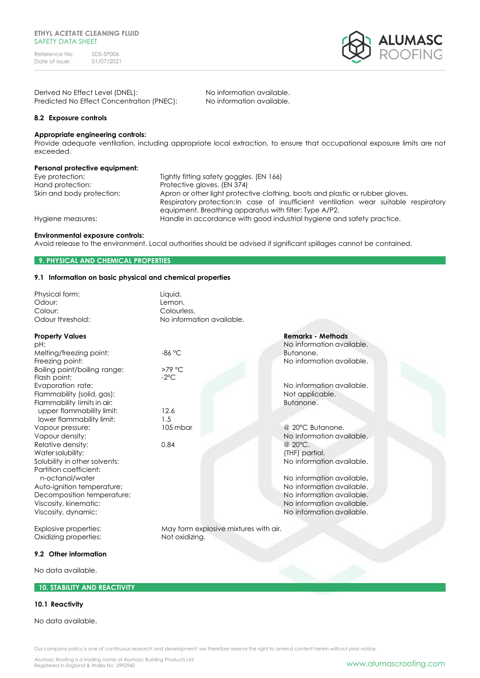

| Derived No Effect Level (DNEL):           | No information available. |
|-------------------------------------------|---------------------------|
| Predicted No Effect Concentration (PNEC): | No information available. |

# **8.2 Exposure controls**

# **Appropriate engineering controls:**

Provide adequate ventilation, including appropriate local extraction, to ensure that occupational exposure limits are not exceeded.

# **Personal protective equipment:**

Hand protection: Protective gloves. (EN 374)

Eye protection: Tightly fitting safety goggles. (EN 166) Skin and body protection: Apron or other light protective clothing, boots and plastic or rubber gloves. Respiratory protection:In case of insufficient ventilation wear suitable respiratory equipment. Breathing apparatus with filter: Type A/P2. Hygiene measures: Handle in accordance with good industrial hygiene and safety practice.

### **Environmental exposure controls:**

Avoid release to the environment. Local authorities should be advised if significant spillages cannot be contained.

# **9. PHYSICAL AND CHEMICAL PROPERTIES**

### **9.1 Information on basic physical and chemical properties**

| Physical form:<br>Odour:                     | Liquid.<br>Lemon.                     |                           |  |
|----------------------------------------------|---------------------------------------|---------------------------|--|
| Colour:                                      | Colourless.                           |                           |  |
| Odour threshold:                             | No information available.             |                           |  |
| <b>Property Values</b>                       |                                       | <b>Remarks - Methods</b>  |  |
| pH:                                          |                                       | No information available. |  |
| Melting/freezing point:                      | $-86$ °C                              | Butanone.                 |  |
| Freezing point:                              |                                       | No information available. |  |
| Boiling point/boiling range:<br>Flash point: | >79 °C<br>$-2$ °C                     |                           |  |
| Evaporation rate:                            |                                       | No information available. |  |
| Flammability (solid, gas):                   |                                       | Not applicable.           |  |
| Flammability limits in air:                  |                                       | Butanone.                 |  |
| upper flammability limit:                    | 12.6                                  |                           |  |
| lower flammability limit:                    | 1.5                                   |                           |  |
| Vapour pressure:                             | 105 mbar                              | @ 20°C Butanone.          |  |
| Vapour density:                              |                                       | No information available. |  |
| Relative density:                            | 0.84                                  | @ 20°C.                   |  |
| Water solubility:                            |                                       | (THF) partial.            |  |
| Solubility in other solvents:                |                                       | No information available. |  |
| Partition coefficient:                       |                                       |                           |  |
| n-octanol/water                              |                                       | No information available. |  |
| Auto-ignition temperature:                   |                                       | No information available. |  |
| Decomposition temperature:                   |                                       | No information available. |  |
| Viscosity, kinematic:                        |                                       | No information available. |  |
| Viscosity, dynamic:                          |                                       | No information available. |  |
| <b>Explosive properties:</b>                 | May form explosive mixtures with air. |                           |  |
| Oxidizing properties:                        | Not oxidizing.                        |                           |  |
| 0.2. Other information                       |                                       |                           |  |

### **9.2 Other information**

No data available.

# **10. STABILITY AND REACTIVITY**

# **10.1 Reactivity**

No data available.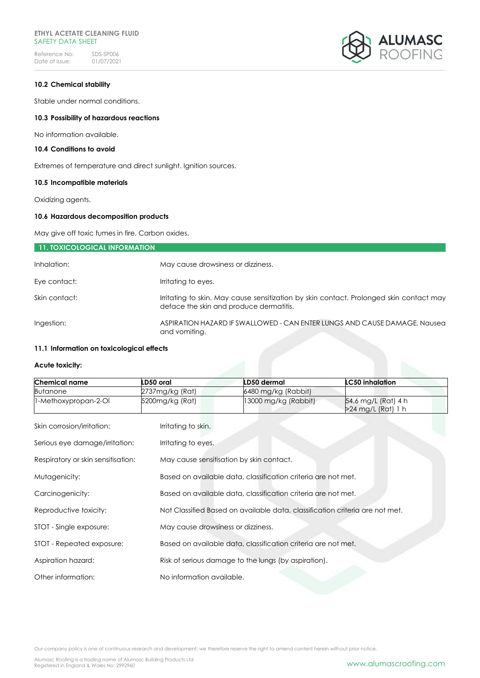# **ETHYL ACETATE CLEANING FLUID** SAFETY DATA SHEET

Reference No: SDS-SP006<br>Date of issue: 01/07/2021 Date of issue:



# **10.2 Chemical stability**

Stable under normal conditions.

# **10.3 Possibility of hazardous reactions**

No information available.

# **10.4 Conditions to avoid**

Extremes of temperature and direct sunlight. Ignition sources.

# **10.5 Incompatible materials**

Oxidizing agents.

# **10.6 Hazardous decomposition products**

May give off toxic fumes in fire. Carbon oxides.

| 11. TOXICOLOGICAL INFORMATION |                                                                                                                                    |
|-------------------------------|------------------------------------------------------------------------------------------------------------------------------------|
| Inhalation:                   | May cause drowsiness or dizziness.                                                                                                 |
| Eye contact:                  | Irritating to eyes.                                                                                                                |
| Skin contact:                 | Irritating to skin. May cause sensitization by skin contact. Prolonged skin contact may<br>deface the skin and produce dermatitis. |
| Ingestion:                    | ASPIRATION HAZARD IF SWALLOWED - CAN ENTER LUNGS AND CAUSE DAMAGE. Nausea<br>and vomiting.                                         |

# **11.1 Information on toxicological effects**

# **Acute toxicity:**

| <b>Chemical name</b>               | LD50 oral           | LD50 dermal                                                                  | <b>LC50 inhalation</b>                    |  |
|------------------------------------|---------------------|------------------------------------------------------------------------------|-------------------------------------------|--|
| <b>Butanone</b>                    | 2737mg/kg (Rat)     | 6480 mg/kg (Rabbit)                                                          |                                           |  |
| 1-Methoxypropan-2-OI               | 5200mg/kg (Rat)     | 13000 mg/kg (Rabbit)                                                         | 54.6 mg/L (Rat) 4 h<br>>24 mg/L (Rat) 1 h |  |
| Skin corrosion/irritation:         | Irritating to skin. |                                                                              |                                           |  |
| Serious eye damage/irritation:     | Irritating to eyes. |                                                                              |                                           |  |
| Respiratory or skin sensitisation: |                     | May cause sensitisation by skin contact.                                     |                                           |  |
| Mutagenicity:                      |                     | Based on available data, classification criteria are not met.                |                                           |  |
| Carcinogenicity:                   |                     | Based on available data, classification criteria are not met.                |                                           |  |
| Reproductive toxicity:             |                     | Not Classified Based on available data, classification criteria are not met. |                                           |  |
| STOT - Single exposure:            |                     | May cause drowsiness or dizziness.                                           |                                           |  |
| STOT - Repeated exposure:          |                     | Based on available data, classification criteria are not met.                |                                           |  |
| Aspiration hazard:                 |                     | Risk of serious damage to the lungs (by aspiration).                         |                                           |  |
| Other information:                 |                     | No information available.                                                    |                                           |  |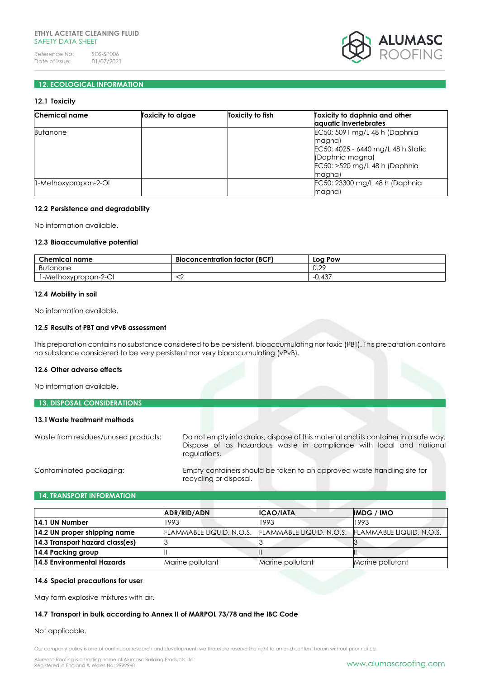# **ETHYL ACETATE CLEANING FLUID** SAFFTY DATA SHFFT

Reference No: SDS-SP006<br>Date of issue: 01/07/2021 Date of issue:



# **12. ECOLOGICAL INFORMATION**

# **12.1 Toxicity**

| Chemical name        | Toxicity to algae | Toxicity to fish | Toxicity to daphnia and other<br>aquatic invertebrates                                                                                       |
|----------------------|-------------------|------------------|----------------------------------------------------------------------------------------------------------------------------------------------|
| <b>Butanone</b>      |                   |                  | EC50: 5091 mg/L 48 h (Daphnia)<br>magna)<br>EC50: 4025 - 6440 mg/L 48 h Static<br>(Daphnia magna)<br>EC50: >520 mg/L 48 h (Daphnia<br>magna) |
| 1-Methoxypropan-2-OI |                   |                  | EC50: 23300 mg/L 48 h (Daphnia)<br>magna)                                                                                                    |

### **12.2 Persistence and degradability**

No information available.

# **12.3 Bioaccumulative potential**

| <b>Chemical name</b> | <b>Bioconcentration factor (BCF)</b> | Log Pow |
|----------------------|--------------------------------------|---------|
| Butanone             |                                      | 0.29    |
| 1-Methoxypropan-2-OI |                                      | -0.437  |

### **12.4 Mobility in soil**

No information available.

### **12.5 Results of PBT and vPvB assessment**

This preparation contains no substance considered to be persistent, bioaccumulating nor toxic (PBT). This preparation contains no substance considered to be very persistent nor very bioaccumulating (vPvB).

### **12.6 Other adverse effects**

No information available.

| <b>13. DISPOSAL CONSIDERATIONS</b>   |                                                                                     |
|--------------------------------------|-------------------------------------------------------------------------------------|
| 13.1 Waste treatment methods         |                                                                                     |
| Waste from residues/unused products: | Do not empty into drains; dispose of this material and its container in a safe way. |

Contaminated packaging: Empty containers should be taken to an approved waste handling site for recycling or disposal.

Dispose of as hazardous waste in compliance with local and national

### **14. TRANSPORT INFORMATION**

|                                 | ADR/RID/ADN              | <b>ICAO/IATA</b>         | <b>IMDG / IMO</b>        |
|---------------------------------|--------------------------|--------------------------|--------------------------|
| 14.1 UN Number                  | 1993                     | 1993                     | 1993                     |
| 14.2 UN proper shipping name    | FLAMMABLE LIQUID, N.O.S. | FLAMMABLE LIQUID, N.O.S. | FLAMMABLE LIQUID, N.O.S. |
| 14.3 Transport hazard class(es) |                          |                          |                          |
| 14.4 Packing group              |                          |                          |                          |
| 14.5 Environmental Hazards      | Marine pollutant         | Marine pollutant         | Marine pollutant         |

#### **14.6 Special precautions for user**

May form explosive mixtures with air.

# **14.7 Transport in bulk according to Annex II of MARPOL 73/78 and the IBC Code**

### Not applicable.

Our company policy is one of continuous research and development; we therefore reserve the right to amend content herein without prior notice.

regulations.